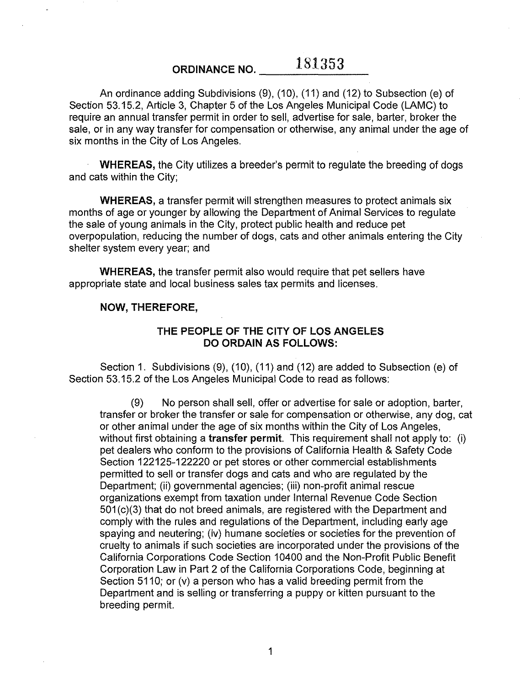**ORDINANCE NO.** 181353

An ordinance adding Subdivisions (9), (10), (11) and (12) to Subsection (e) of Section 53.15.2, Article 3, Chapter 5 of the Los Angeles Municipal Code (LAMC) to require an annual transfer permit **in** order to sell, advertise for sale, barter, broker the sale, or in any way transfer for compensation or otherwise, any animal under the age of six months in the City of Los Angeles.

**WHEREAS,** the City utilizes a breeder's permit to regulate the breeding of dogs and cats within the City;

**WHEREAS,** a transfer permit will strengthen measures to protect animals six months of age or younger by allowing the Department of Animal Services to regulate the sale of young animals in the City, protect public health and reduce pet overpopulation, reducing the number of dogs, cats and other animals entering the City shelter system every year; and

**WHEREAS,** the transfer permit also would require that pet sellers have appropriate state and local business sales tax permits and licenses.

## **NOW, THEREFORE,**

## **THE PEOPLE OF THE CITY OF LOS ANGELES DO ORDAIN AS FOLLOWS:**

Section **1.** Subdivisions (9), (10), (11) and (12) are added to Subsection (e) of Section 53.15.2 of the Los Angeles Municipal Code to read as follows:

(9) No person shall sell, offer or advertise for sale or adoption, barter, transfer or broker the transfer or sale for compensation or otherwise, any dog, cat or other animal under the age of six months within the City of Los Angeles, without first obtaining a **transfer permit.** This requirement shall not apply to: (i) pet dealers who conform to the provisions of California Health & Safety Code Section 122125-122220 or pet stores or other commercial establishments permitted to sell or transfer dogs and cats and who are regulated by the Department; (ii) governmental agencies; (iii) non-profit animal rescue organizations exempt from taxation under Internal Revenue Code Section 501 (c)(3) that do not breed animals, are registered with the Department and comply with the rules and regulations of the Department, including early age spaying and neutering; (iv) humane societies or societies for the prevention of cruelty to animals if such societies are incorporated under the provisions of the California Corporations Code Section 10400 and the Non-Profit Public Benefit Corporation Law in Part 2 of the California Corporations Code, beginning at Section 5110; or  $(v)$  a person who has a valid breeding permit from the Department and is selling or transferring a puppy or kitten pursuant to the breeding permit.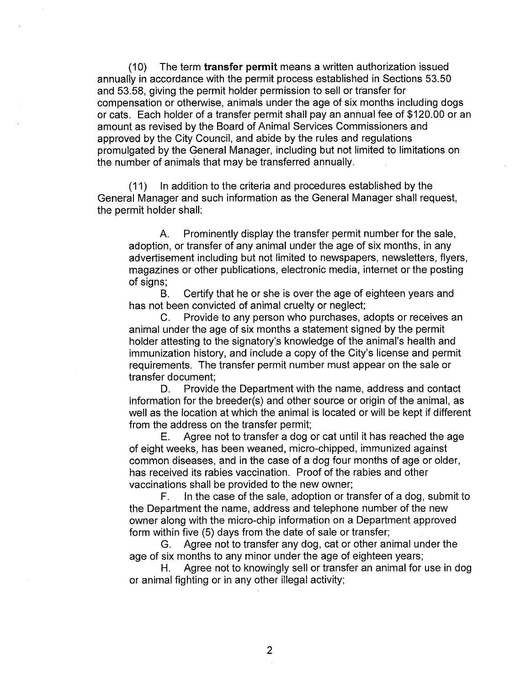(10) The term **transfer permit** means a written authorization issued annually in accordance with the permit process established in Sections 53.50 and 53.58, giving the permit holder permission to sell or transfer for compensation or otherwise, animals under the age of six months including dogs or cats. Each holder of a transfer permit shall pay an annual fee of \$120.00 or an amount as revised by the Board of Animal Services Commissioners and approved by the City Council, and abide by the rules and regulations promulgated by the General Manager, including but not limited to limitations on the number of animals that may be transferred annually.

(11) In addition to the criteria and procedures established by the General Manager and such information as the General Manager shall request, the permit holder shall:

A. Prominently display the transfer permit number for the sale, adoption, or transfer of any animal under the age of six months, in any advertisement including but not limited to newspapers, newsletters, flyers, magazines or other publications, electronic media, internet or the posting of signs;

B. Certify that he or she is over the age of eighteen years and has not been convicted of animal cruelty or neglect;

C. Provide to any person who purchases, adopts or receives an animal under the age of six months a statement signed by the permit holder attesting to the signatory's knowledge of the animal's health and immunization history, and include a copy of the City's license and permit requirements. The transfer permit number must appear on the sale or transfer document;

D. Provide the Department with the name, address and contact information for the breeder(s) and other source or origin of the animal, as well as the location at which the animal is located or will be kept if different from the address on the transfer permit;

E. Agree not to transfer a dog or cat until it has reached the age of eight weeks, has been weaned, micro-chipped, immunized against common diseases, and in the case of a dog four months of age or older, has received its rabies vaccination. Proof of the rabies and other vaccinations shall be provided to the new owner;

F. In the case of the sale, adoption or transfer of a dog, submit to the Department the name, address and telephone number of the new owner along with the micro-chip information on a Department approved form within five (5) days from the date of sale or transfer;

G. Agree not to transfer any dog, cat or other animal under the age of six months to any minor under the age of eighteen years;

H. Agree not to knowingly sell or transfer an animal for use in dog or animal fighting or in any other illegal activity;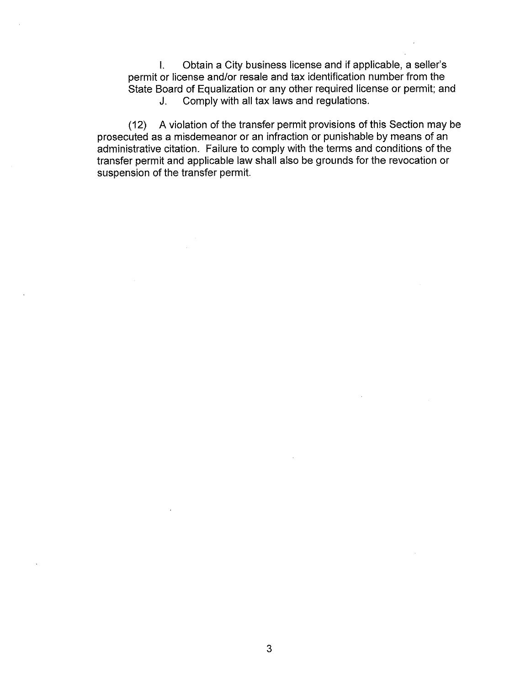I. Obtain a City business license and if applicable, a seller's permit or license and/or resale and tax identification number from the State Board of Equalization or any other required license or permit; and J. Comply with all tax laws and regulations.

(12) A violation of the transfer permit provisions of this Section may be prosecuted as a misdemeanor or an infraction or punishable by means of an administrative citation. Failure to comply with the terms and conditions of the transfer permit and applicable law shall also be grounds for the revocation or suspension of the transfer permit.